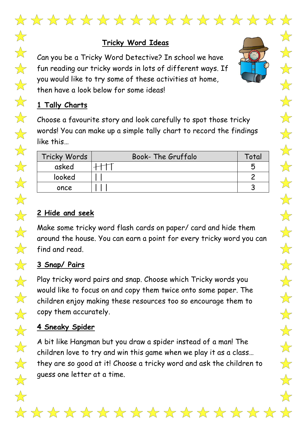

 $\frac{1}{\sqrt{2}}$ 

 $\frac{1}{2}$ 

 $\frac{1}{\sqrt{2}}$ 

 $\bigvee$ 

 $\frac{1}{\sqrt{2}}$ 

 $\frac{1}{\sqrt{2}}$ 

 $\frac{1}{\sqrt{2}}$ 

 $\frac{1}{\sqrt{2}}$ 

 $\frac{1}{2}$ 

 $\frac{1}{\sqrt{2}}$ 

 $\overrightarrow{\lambda}$ 

 $\overrightarrow{\lambda}$ 

 $\bigtimes$ 

 $\overrightarrow{\lambda}$ 

 $\frac{1}{\sqrt{2}}$ 

 $\frac{1}{2}$ 

 $\sum$ 

 $\frac{1}{\sqrt{2}}$ 

 $\frac{1}{\sqrt{2}}$ 

 $\frac{1}{\sqrt{2}}$ 

 $\frac{1}{2}$ 

 $\frac{1}{\sqrt{2}}$ 

 $\bigvee$ 

TOT

#### **Tricky Word Ideas**

Can you be a Tricky Word Detective? In school we have fun reading our tricky words in lots of different ways. If you would like to try some of these activities at home, then have a look below for some ideas!

## **1 Tally Charts**

Choose a favourite story and look carefully to spot those tricky words! You can make up a simple tally chart to record the findings like this…

| Tricky Words | <b>Book-The Gruffalo</b> | Total |
|--------------|--------------------------|-------|
| asked        |                          |       |
| looked       |                          |       |
| once         |                          |       |

### **2 Hide and seek**

Make some tricky word flash cards on paper/ card and hide them around the house. You can earn a point for every tricky word you can find and read.

# **3 Snap/ Pairs**

Play tricky word pairs and snap. Choose which Tricky words you would like to focus on and copy them twice onto some paper. The children enjoy making these resources too so encourage them to copy them accurately.

#### **4 Sneaky Spider**

A bit like Hangman but you draw a spider instead of a man! The children love to try and win this game when we play it as a class… they are so good at it! Choose a tricky word and ask the children to guess one letter at a time.